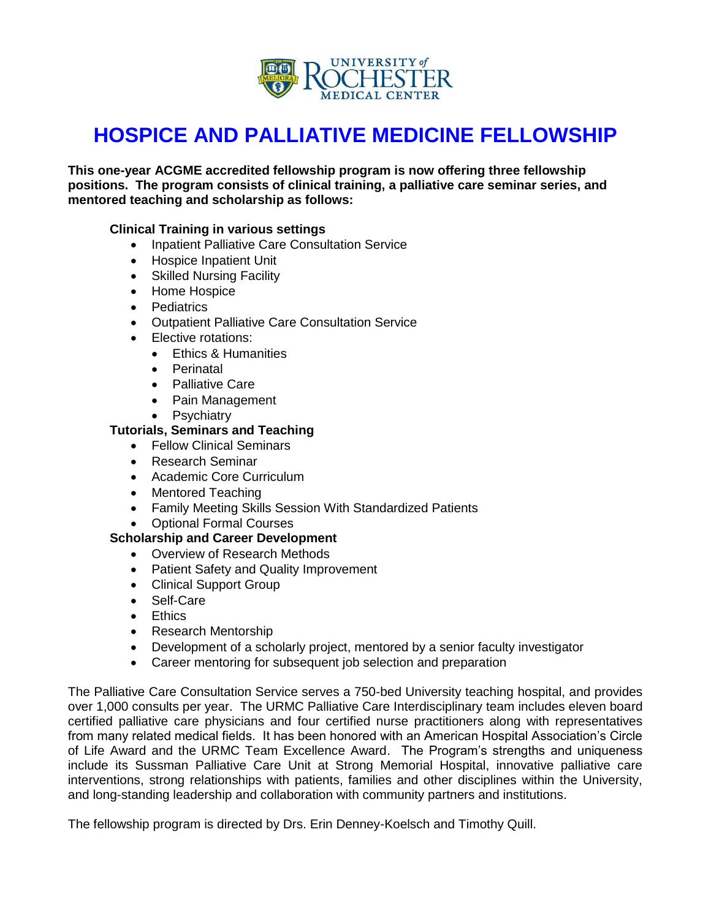

# **HOSPICE AND PALLIATIVE MEDICINE FELLOWSHIP**

**This one-year ACGME accredited fellowship program is now offering three fellowship positions. The program consists of clinical training, a palliative care seminar series, and mentored teaching and scholarship as follows:**

#### **Clinical Training in various settings**

- Inpatient Palliative Care Consultation Service
- Hospice Inpatient Unit
- Skilled Nursing Facility
- Home Hospice
- **Pediatrics**
- Outpatient Palliative Care Consultation Service
- Elective rotations:
	- **Ethics & Humanities**
	- Perinatal
	- Palliative Care
	- Pain Management
	- Psychiatry

#### **Tutorials, Seminars and Teaching**

- Fellow Clinical Seminars
- Research Seminar
- Academic Core Curriculum
- Mentored Teaching
- Family Meeting Skills Session With Standardized Patients
- Optional Formal Courses

#### **Scholarship and Career Development**

- Overview of Research Methods
- Patient Safety and Quality Improvement
- Clinical Support Group
- Self-Care
- **•** Ethics
- Research Mentorship
- Development of a scholarly project, mentored by a senior faculty investigator
- Career mentoring for subsequent job selection and preparation

The Palliative Care Consultation Service serves a 750-bed University teaching hospital, and provides over 1,000 consults per year. The URMC Palliative Care Interdisciplinary team includes eleven board certified palliative care physicians and four certified nurse practitioners along with representatives from many related medical fields. It has been honored with an American Hospital Association's Circle of Life Award and the URMC Team Excellence Award. The Program's strengths and uniqueness include its Sussman Palliative Care Unit at Strong Memorial Hospital, innovative palliative care interventions, strong relationships with patients, families and other disciplines within the University, and long-standing leadership and collaboration with community partners and institutions.

The fellowship program is directed by Drs. Erin Denney-Koelsch and Timothy Quill.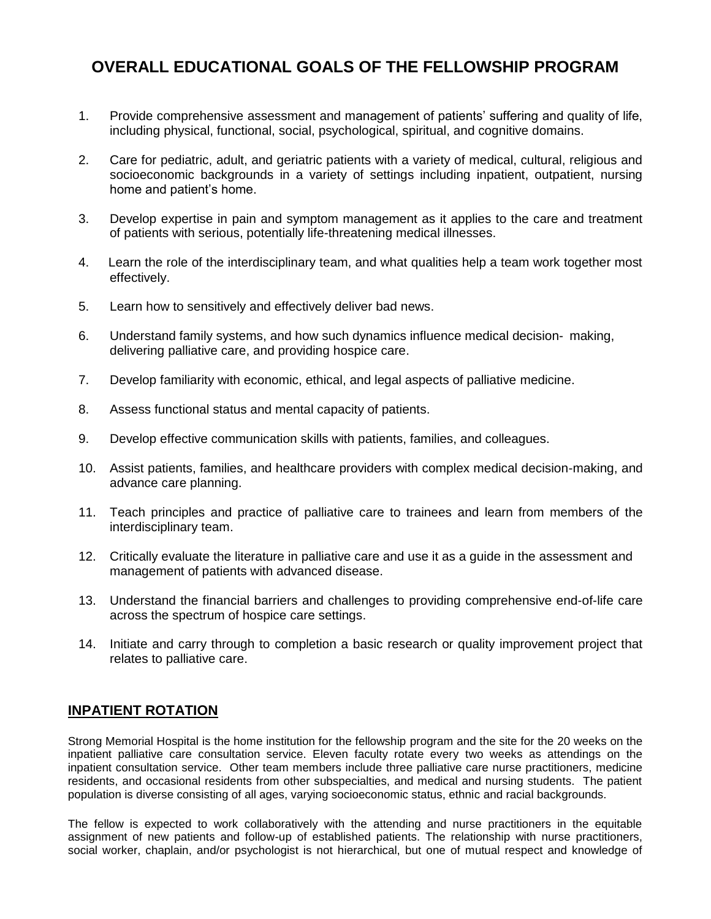# **OVERALL EDUCATIONAL GOALS OF THE FELLOWSHIP PROGRAM**

- 1. Provide comprehensive assessment and management of patients' suffering and quality of life, including physical, functional, social, psychological, spiritual, and cognitive domains.
- 2. Care for pediatric, adult, and geriatric patients with a variety of medical, cultural, religious and socioeconomic backgrounds in a variety of settings including inpatient, outpatient, nursing home and patient's home.
- 3. Develop expertise in pain and symptom management as it applies to the care and treatment of patients with serious, potentially life-threatening medical illnesses.
- 4. Learn the role of the interdisciplinary team, and what qualities help a team work together most effectively.
- 5. Learn how to sensitively and effectively deliver bad news.
- 6. Understand family systems, and how such dynamics influence medical decision- making, delivering palliative care, and providing hospice care.
- 7. Develop familiarity with economic, ethical, and legal aspects of palliative medicine.
- 8. Assess functional status and mental capacity of patients.
- 9. Develop effective communication skills with patients, families, and colleagues.
- 10. Assist patients, families, and healthcare providers with complex medical decision-making, and advance care planning.
- 11. Teach principles and practice of palliative care to trainees and learn from members of the interdisciplinary team.
- 12. Critically evaluate the literature in palliative care and use it as a guide in the assessment and management of patients with advanced disease.
- 13. Understand the financial barriers and challenges to providing comprehensive end-of-life care across the spectrum of hospice care settings.
- 14. Initiate and carry through to completion a basic research or quality improvement project that relates to palliative care.

# **INPATIENT ROTATION**

Strong Memorial Hospital is the home institution for the fellowship program and the site for the 20 weeks on the inpatient palliative care consultation service. Eleven faculty rotate every two weeks as attendings on the inpatient consultation service. Other team members include three palliative care nurse practitioners, medicine residents, and occasional residents from other subspecialties, and medical and nursing students. The patient population is diverse consisting of all ages, varying socioeconomic status, ethnic and racial backgrounds.

The fellow is expected to work collaboratively with the attending and nurse practitioners in the equitable assignment of new patients and follow-up of established patients. The relationship with nurse practitioners, social worker, chaplain, and/or psychologist is not hierarchical, but one of mutual respect and knowledge of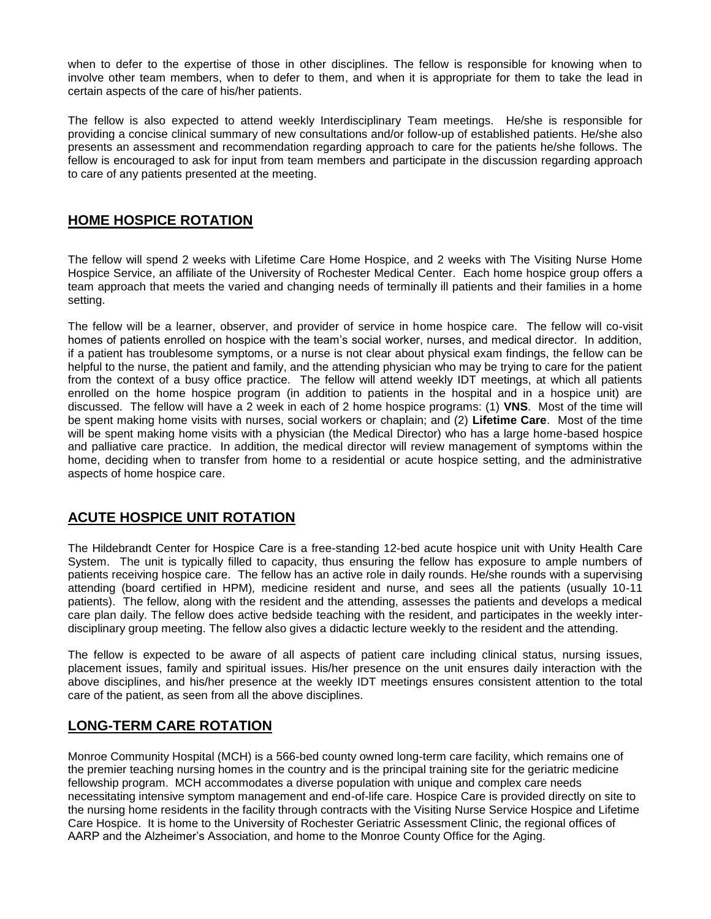when to defer to the expertise of those in other disciplines. The fellow is responsible for knowing when to involve other team members, when to defer to them, and when it is appropriate for them to take the lead in certain aspects of the care of his/her patients.

The fellow is also expected to attend weekly Interdisciplinary Team meetings. He/she is responsible for providing a concise clinical summary of new consultations and/or follow-up of established patients. He/she also presents an assessment and recommendation regarding approach to care for the patients he/she follows. The fellow is encouraged to ask for input from team members and participate in the discussion regarding approach to care of any patients presented at the meeting.

#### **HOME HOSPICE ROTATION**

The fellow will spend 2 weeks with Lifetime Care Home Hospice, and 2 weeks with The Visiting Nurse Home Hospice Service, an affiliate of the University of Rochester Medical Center. Each home hospice group offers a team approach that meets the varied and changing needs of terminally ill patients and their families in a home setting.

The fellow will be a learner, observer, and provider of service in home hospice care. The fellow will co-visit homes of patients enrolled on hospice with the team's social worker, nurses, and medical director. In addition, if a patient has troublesome symptoms, or a nurse is not clear about physical exam findings, the fellow can be helpful to the nurse, the patient and family, and the attending physician who may be trying to care for the patient from the context of a busy office practice. The fellow will attend weekly IDT meetings, at which all patients enrolled on the home hospice program (in addition to patients in the hospital and in a hospice unit) are discussed. The fellow will have a 2 week in each of 2 home hospice programs: (1) **VNS**. Most of the time will be spent making home visits with nurses, social workers or chaplain; and (2) **Lifetime Care**. Most of the time will be spent making home visits with a physician (the Medical Director) who has a large home-based hospice and palliative care practice. In addition, the medical director will review management of symptoms within the home, deciding when to transfer from home to a residential or acute hospice setting, and the administrative aspects of home hospice care.

# **ACUTE HOSPICE UNIT ROTATION**

The Hildebrandt Center for Hospice Care is a free-standing 12-bed acute hospice unit with Unity Health Care System. The unit is typically filled to capacity, thus ensuring the fellow has exposure to ample numbers of patients receiving hospice care. The fellow has an active role in daily rounds. He/she rounds with a supervising attending (board certified in HPM)*,* medicine resident and nurse, and sees all the patients (usually 10-11 patients). The fellow, along with the resident and the attending, assesses the patients and develops a medical care plan daily. The fellow does active bedside teaching with the resident, and participates in the weekly interdisciplinary group meeting. The fellow also gives a didactic lecture weekly to the resident and the attending.

The fellow is expected to be aware of all aspects of patient care including clinical status, nursing issues, placement issues, family and spiritual issues. His/her presence on the unit ensures daily interaction with the above disciplines, and his/her presence at the weekly IDT meetings ensures consistent attention to the total care of the patient, as seen from all the above disciplines.

# **LONG-TERM CARE ROTATION**

Monroe Community Hospital (MCH) is a 566-bed county owned long-term care facility, which remains one of the premier teaching nursing homes in the country and is the principal training site for the geriatric medicine fellowship program. MCH accommodates a diverse population with unique and complex care needs necessitating intensive symptom management and end-of-life care. Hospice Care is provided directly on site to the nursing home residents in the facility through contracts with the Visiting Nurse Service Hospice and Lifetime Care Hospice. It is home to the University of Rochester Geriatric Assessment Clinic, the regional offices of AARP and the Alzheimer's Association, and home to the Monroe County Office for the Aging.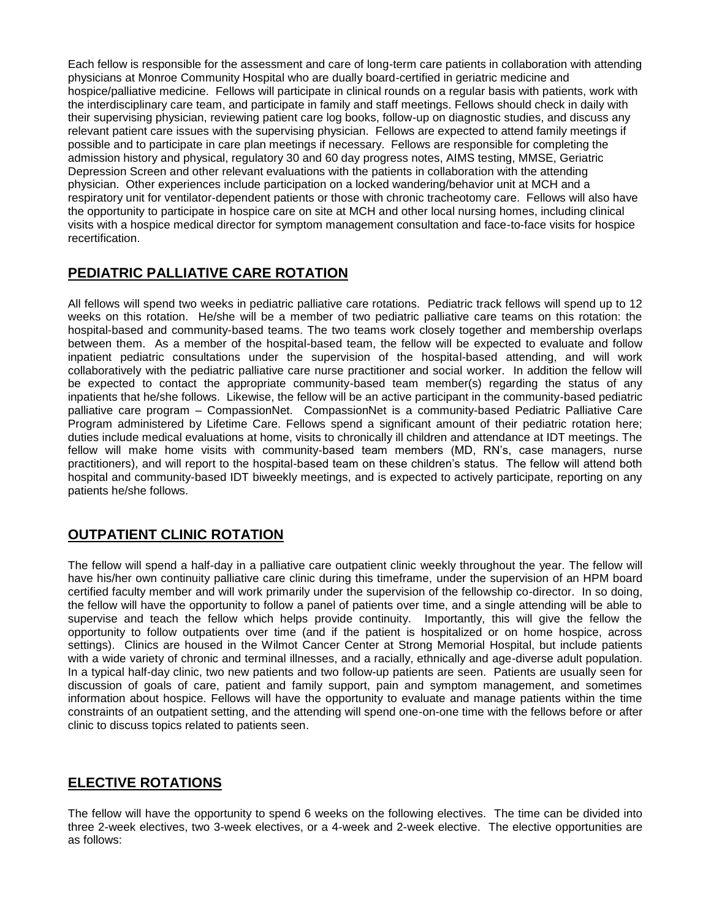Each fellow is responsible for the assessment and care of long-term care patients in collaboration with attending physicians at Monroe Community Hospital who are dually board-certified in geriatric medicine and hospice/palliative medicine. Fellows will participate in clinical rounds on a regular basis with patients, work with the interdisciplinary care team, and participate in family and staff meetings. Fellows should check in daily with their supervising physician, reviewing patient care log books, follow-up on diagnostic studies, and discuss any relevant patient care issues with the supervising physician. Fellows are expected to attend family meetings if possible and to participate in care plan meetings if necessary. Fellows are responsible for completing the admission history and physical, regulatory 30 and 60 day progress notes, AIMS testing, MMSE, Geriatric Depression Screen and other relevant evaluations with the patients in collaboration with the attending physician. Other experiences include participation on a locked wandering/behavior unit at MCH and a respiratory unit for ventilator-dependent patients or those with chronic tracheotomy care. Fellows will also have the opportunity to participate in hospice care on site at MCH and other local nursing homes, including clinical visits with a hospice medical director for symptom management consultation and face-to-face visits for hospice recertification.

# **PEDIATRIC PALLIATIVE CARE ROTATION**

All fellows will spend two weeks in pediatric palliative care rotations. Pediatric track fellows will spend up to 12 weeks on this rotation. He/she will be a member of two pediatric palliative care teams on this rotation: the hospital-based and community-based teams. The two teams work closely together and membership overlaps between them. As a member of the hospital-based team, the fellow will be expected to evaluate and follow inpatient pediatric consultations under the supervision of the hospital-based attending, and will work collaboratively with the pediatric palliative care nurse practitioner and social worker. In addition the fellow will be expected to contact the appropriate community-based team member(s) regarding the status of any inpatients that he/she follows. Likewise, the fellow will be an active participant in the community-based pediatric palliative care program – CompassionNet. CompassionNet is a community-based Pediatric Palliative Care Program administered by Lifetime Care. Fellows spend a significant amount of their pediatric rotation here; duties include medical evaluations at home, visits to chronically ill children and attendance at IDT meetings. The fellow will make home visits with community-based team members (MD, RN's, case managers, nurse practitioners), and will report to the hospital-based team on these children's status. The fellow will attend both hospital and community-based IDT biweekly meetings, and is expected to actively participate, reporting on any patients he/she follows.

# **OUTPATIENT CLINIC ROTATION**

The fellow will spend a half-day in a palliative care outpatient clinic weekly throughout the year. The fellow will have his/her own continuity palliative care clinic during this timeframe, under the supervision of an HPM board certified faculty member and will work primarily under the supervision of the fellowship co-director. In so doing, the fellow will have the opportunity to follow a panel of patients over time, and a single attending will be able to supervise and teach the fellow which helps provide continuity. Importantly, this will give the fellow the opportunity to follow outpatients over time (and if the patient is hospitalized or on home hospice, across settings). Clinics are housed in the Wilmot Cancer Center at Strong Memorial Hospital, but include patients with a wide variety of chronic and terminal illnesses, and a racially, ethnically and age-diverse adult population. In a typical half-day clinic, two new patients and two follow-up patients are seen. Patients are usually seen for discussion of goals of care, patient and family support, pain and symptom management, and sometimes information about hospice. Fellows will have the opportunity to evaluate and manage patients within the time constraints of an outpatient setting, and the attending will spend one-on-one time with the fellows before or after clinic to discuss topics related to patients seen.

# **ELECTIVE ROTATIONS**

The fellow will have the opportunity to spend 6 weeks on the following electives. The time can be divided into three 2-week electives, two 3-week electives, or a 4-week and 2-week elective. The elective opportunities are as follows: